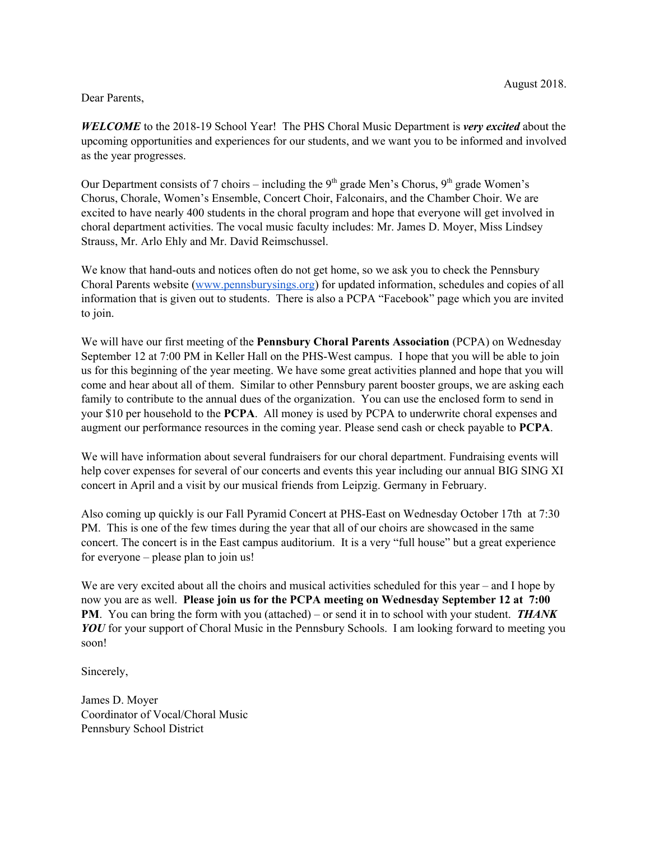## Dear Parents,

*WELCOME* to the 2018-19 School Year! The PHS Choral Music Department is *very excited* about the upcoming opportunities and experiences for our students, and we want you to be informed and involved as the year progresses.

Our Department consists of 7 choirs – including the  $9<sup>th</sup>$  grade Men's Chorus,  $9<sup>th</sup>$  grade Women's Chorus, Chorale, Women's Ensemble, Concert Choir, Falconairs, and the Chamber Choir. We are excited to have nearly 400 students in the choral program and hope that everyone will get involved in choral department activities. The vocal music faculty includes: Mr. James D. Moyer, Miss Lindsey Strauss, Mr. Arlo Ehly and Mr. David Reimschussel.

We know that hand-outs and notices often do not get home, so we ask you to check the Pennsbury Choral Parents website [\(www.pennsburysings.org](http://www.pennsburysings.org/)) for updated information, schedules and copies of all information that is given out to students. There is also a PCPA "Facebook" page which you are invited to join.

We will have our first meeting of the **Pennsbury Choral Parents Association** (PCPA) on Wednesday September 12 at 7:00 PM in Keller Hall on the PHS-West campus. I hope that you will be able to join us for this beginning of the year meeting. We have some great activities planned and hope that you will come and hear about all of them. Similar to other Pennsbury parent booster groups, we are asking each family to contribute to the annual dues of the organization. You can use the enclosed form to send in your \$10 per household to the **PCPA**. All money is used by PCPA to underwrite choral expenses and augment our performance resources in the coming year. Please send cash or check payable to **PCPA**.

We will have information about several fundraisers for our choral department. Fundraising events will help cover expenses for several of our concerts and events this year including our annual BIG SING XI concert in April and a visit by our musical friends from Leipzig. Germany in February.

Also coming up quickly is our Fall Pyramid Concert at PHS-East on Wednesday October 17th at 7:30 PM. This is one of the few times during the year that all of our choirs are showcased in the same concert. The concert is in the East campus auditorium. It is a very "full house" but a great experience for everyone – please plan to join us!

We are very excited about all the choirs and musical activities scheduled for this year – and I hope by now you are as well. **Please join us for the PCPA meeting on Wednesday September 12 at 7:00 PM**. You can bring the form with you (attached) – or send it in to school with your student. *THANK* YOU for your support of Choral Music in the Pennsbury Schools. I am looking forward to meeting you soon!

Sincerely,

James D. Moyer Coordinator of Vocal/Choral Music Pennsbury School District